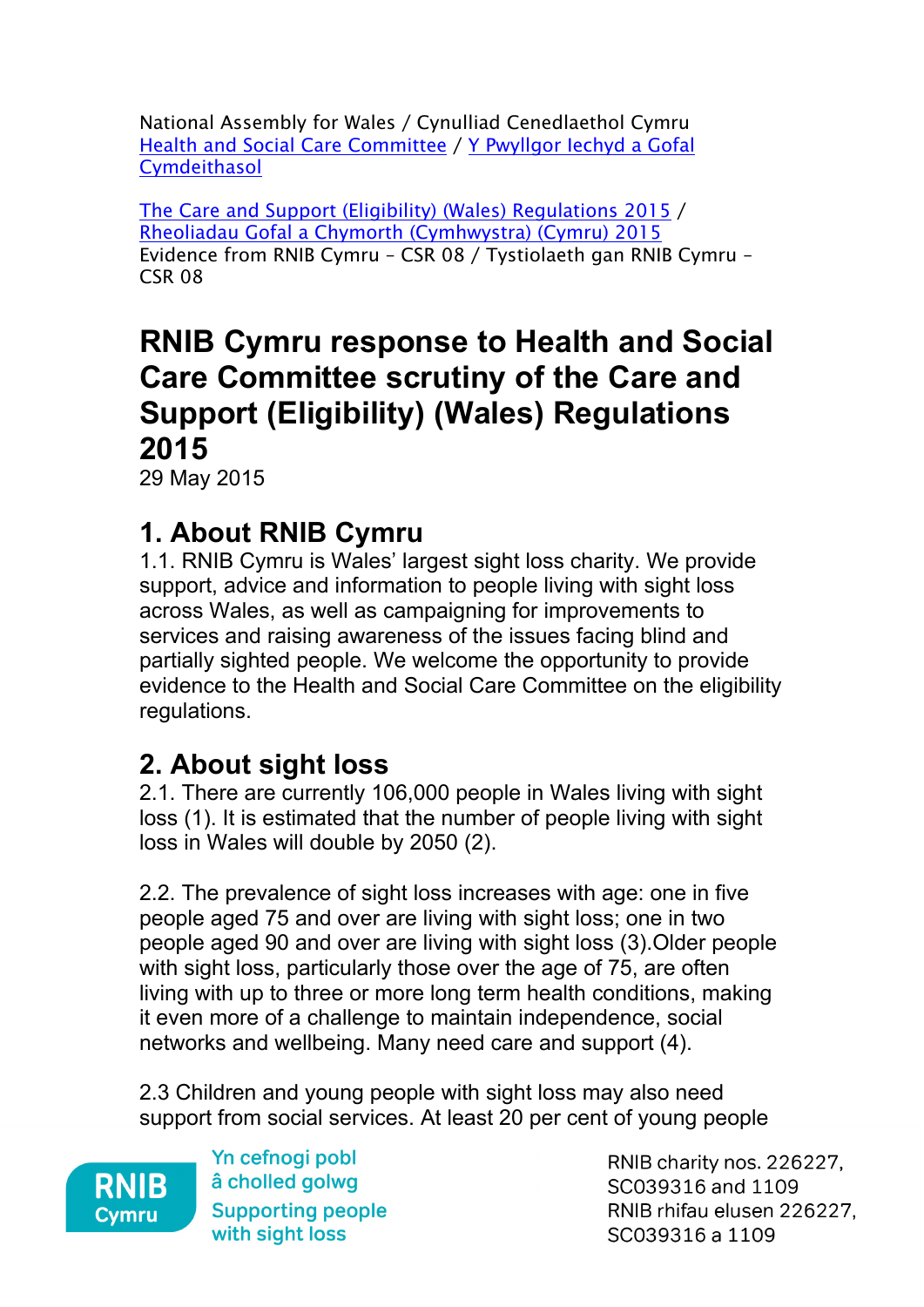National Assembly for Wales / Cynulliad Cenedlaethol Cymru Health and Social Care [Committee](http://www.senedd.assembly.wales/mgCommitteeDetails.aspx?ID=227) / Y [Pwyllgor](http://www.senedd.cynulliad.cymru/mgCommitteeDetails.aspx?ID=227) Iechyd a Gofal **[Cymdeithasol](http://www.senedd.cynulliad.cymru/mgCommitteeDetails.aspx?ID=227)** 

The Care and Support (Eligibility) (Wales) [Regulations](http://www.senedd.assembly.wales/mgConsultationDisplay.aspx?ID=177) 2015 / Rheoliadau Gofal a Chymorth [\(Cymhwystra\)](http://www.senedd.cynulliad.cymru/mgConsultationDisplay.aspx?ID=177) (Cymru) 2015 Evidence from RNIB Cymru – CSR 08 / Tystiolaeth gan RNIB Cymru – CSR 08

# **RNIB Cymru response to Health and Social Care Committee scrutiny of the Care and Support (Eligibility) (Wales) Regulations 2015**

29 May 2015

## **1. About RNIB Cymru**

1.1. RNIB Cymru is Wales' largest sight loss charity. We provide support, advice and information to people living with sight loss across Wales, as well as campaigning for improvements to services and raising awareness of the issues facing blind and partially sighted people. We welcome the opportunity to provide evidence to the Health and Social Care Committee on the eligibility regulations.

## **2. About sight loss**

2.1. There are currently 106,000 people in Wales living with sight loss (1). It is estimated that the number of people living with sight loss in Wales will double by 2050 (2).

2.2. The prevalence of sight loss increases with age: one in five people aged 75 and over are living with sight loss; one in two people aged 90 and over are living with sight loss (3).Older people with sight loss, particularly those over the age of 75, are often living with up to three or more long term health conditions, making it even more of a challenge to maintain independence, social networks and wellbeing. Many need care and support (4).

2.3 Children and young people with sight loss may also need support from social services. At least 20 per cent of young people



Yn cefnogi pobl â cholled golwg Cymru – Supporting people with sight loss

RNIB charity nos. 226227, SC039316 and 1109 RNIB rhifau elusen 226227, SC039316 a 1109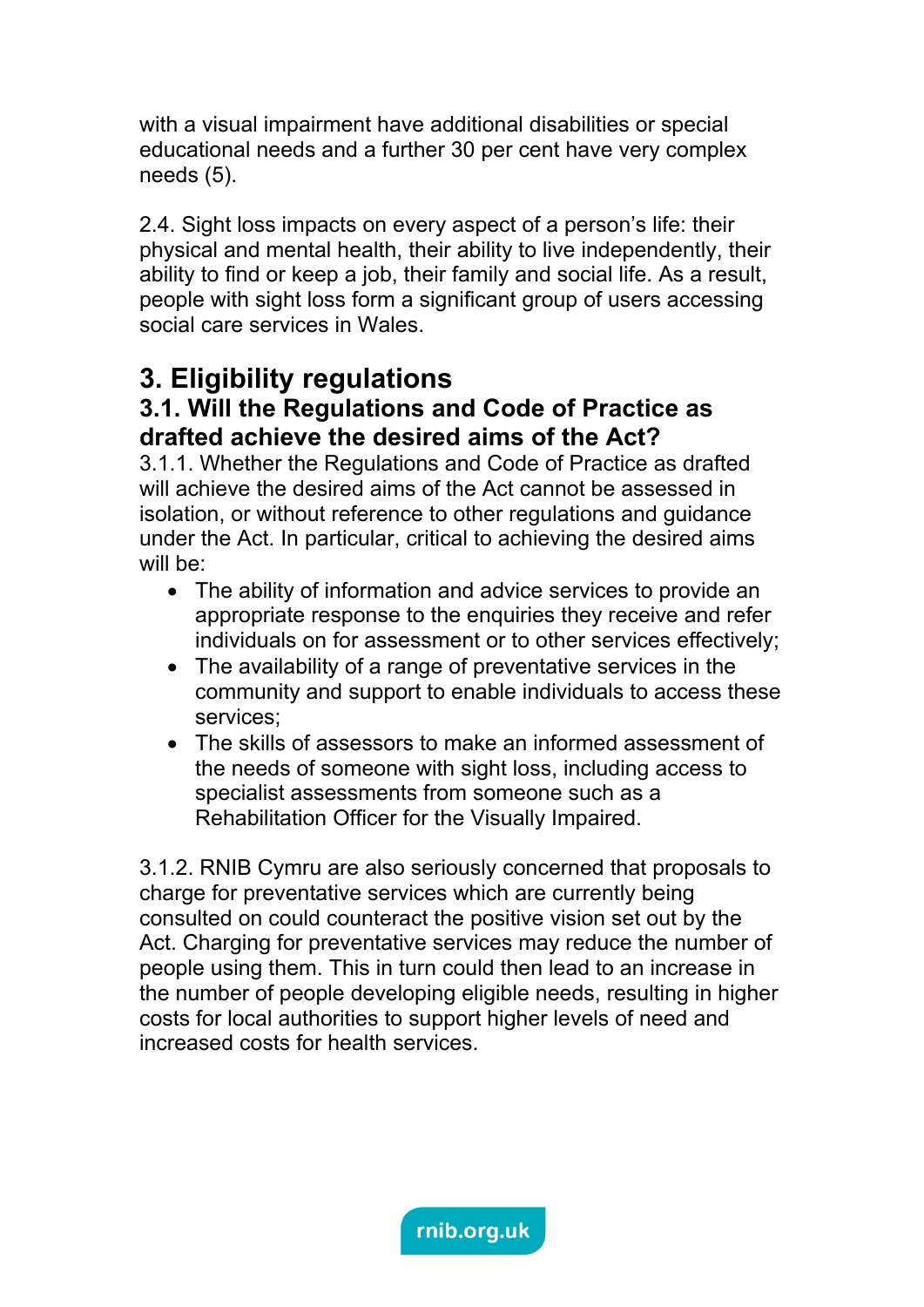with a visual impairment have additional disabilities or special educational needs and a further 30 per cent have very complex needs (5).

2.4. Sight loss impacts on every aspect of a person's life: their physical and mental health, their ability to live independently, their ability to find or keep a job, their family and social life. As a result, people with sight loss form a significant group of users accessing social care services in Wales.

## **3. Eligibility regulations**

### **3.1. Will the Regulations and Code of Practice as drafted achieve the desired aims of the Act?**

3.1.1. Whether the Regulations and Code of Practice as drafted will achieve the desired aims of the Act cannot be assessed in isolation, or without reference to other regulations and guidance under the Act. In particular, critical to achieving the desired aims will be:

- The ability of information and advice services to provide an appropriate response to the enquiries they receive and refer individuals on for assessment or to other services effectively;
- The availability of a range of preventative services in the community and support to enable individuals to access these services;
- The skills of assessors to make an informed assessment of the needs of someone with sight loss, including access to specialist assessments from someone such as a Rehabilitation Officer for the Visually Impaired.

3.1.2. RNIB Cymru are also seriously concerned that proposals to charge for preventative services which are currently being consulted on could counteract the positive vision set out by the Act. Charging for preventative services may reduce the number of people using them. This in turn could then lead to an increase in the number of people developing eligible needs, resulting in higher costs for local authorities to support higher levels of need and increased costs for health services.

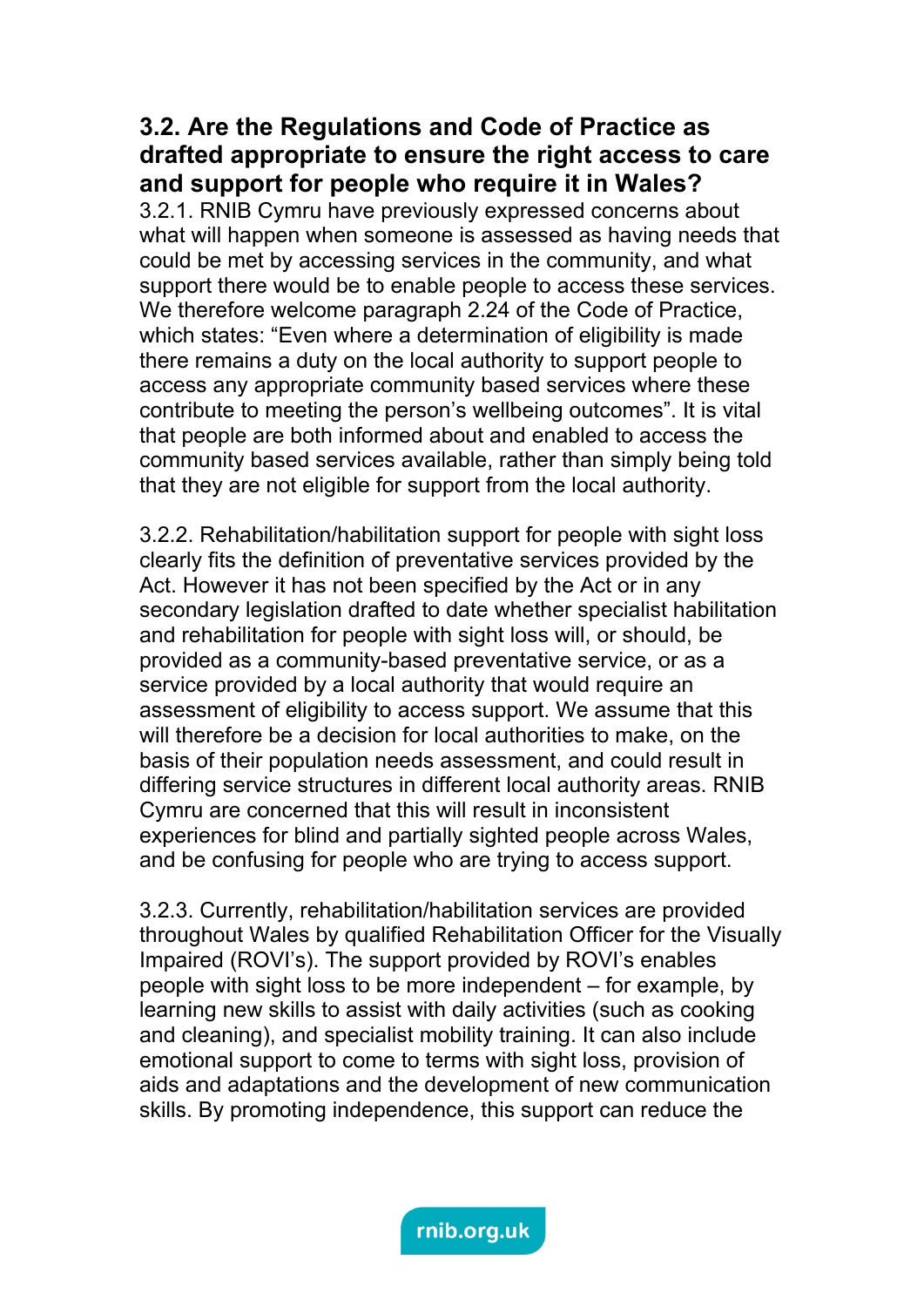#### **3.2. Are the Regulations and Code of Practice as drafted appropriate to ensure the right access to care and support for people who require it in Wales?**

3.2.1. RNIB Cymru have previously expressed concerns about what will happen when someone is assessed as having needs that could be met by accessing services in the community, and what support there would be to enable people to access these services. We therefore welcome paragraph 2.24 of the Code of Practice, which states: "Even where a determination of eligibility is made there remains a duty on the local authority to support people to access any appropriate community based services where these contribute to meeting the person's wellbeing outcomes". It is vital that people are both informed about and enabled to access the community based services available, rather than simply being told that they are not eligible for support from the local authority.

3.2.2. Rehabilitation/habilitation support for people with sight loss clearly fits the definition of preventative services provided by the Act. However it has not been specified by the Act or in any secondary legislation drafted to date whether specialist habilitation and rehabilitation for people with sight loss will, or should, be provided as a community-based preventative service, or as a service provided by a local authority that would require an assessment of eligibility to access support. We assume that this will therefore be a decision for local authorities to make, on the basis of their population needs assessment, and could result in differing service structures in different local authority areas. RNIB Cymru are concerned that this will result in inconsistent experiences for blind and partially sighted people across Wales, and be confusing for people who are trying to access support.

3.2.3. Currently, rehabilitation/habilitation services are provided throughout Wales by qualified Rehabilitation Officer for the Visually Impaired (ROVI's). The support provided by ROVI's enables people with sight loss to be more independent – for example, by learning new skills to assist with daily activities (such as cooking and cleaning), and specialist mobility training. It can also include emotional support to come to terms with sight loss, provision of aids and adaptations and the development of new communication skills. By promoting independence, this support can reduce the

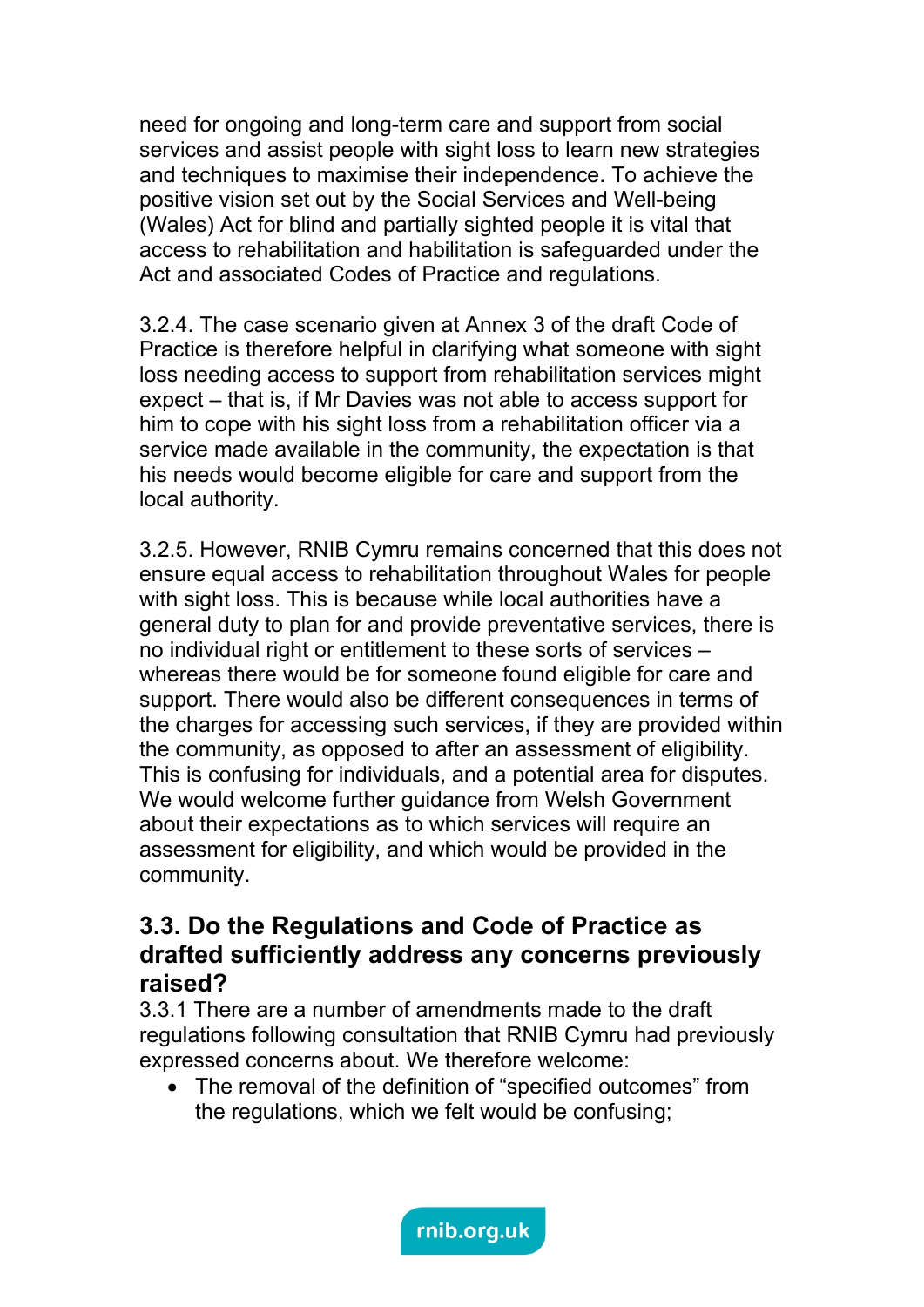need for ongoing and long-term care and support from social services and assist people with sight loss to learn new strategies and techniques to maximise their independence. To achieve the positive vision set out by the Social Services and Well-being (Wales) Act for blind and partially sighted people it is vital that access to rehabilitation and habilitation is safeguarded under the Act and associated Codes of Practice and regulations.

3.2.4. The case scenario given at Annex 3 of the draft Code of Practice is therefore helpful in clarifying what someone with sight loss needing access to support from rehabilitation services might expect – that is, if Mr Davies was not able to access support for him to cope with his sight loss from a rehabilitation officer via a service made available in the community, the expectation is that his needs would become eligible for care and support from the local authority.

3.2.5. However, RNIB Cymru remains concerned that this does not ensure equal access to rehabilitation throughout Wales for people with sight loss. This is because while local authorities have a general duty to plan for and provide preventative services, there is no individual right or entitlement to these sorts of services – whereas there would be for someone found eligible for care and support. There would also be different consequences in terms of the charges for accessing such services, if they are provided within the community, as opposed to after an assessment of eligibility. This is confusing for individuals, and a potential area for disputes. We would welcome further quidance from Welsh Government about their expectations as to which services will require an assessment for eligibility, and which would be provided in the community.

#### **3.3. Do the Regulations and Code of Practice as drafted sufficiently address any concerns previously raised?**

3.3.1 There are a number of amendments made to the draft regulations following consultation that RNIB Cymru had previously expressed concerns about. We therefore welcome:

• The removal of the definition of "specified outcomes" from the regulations, which we felt would be confusing;

rnib.org.uk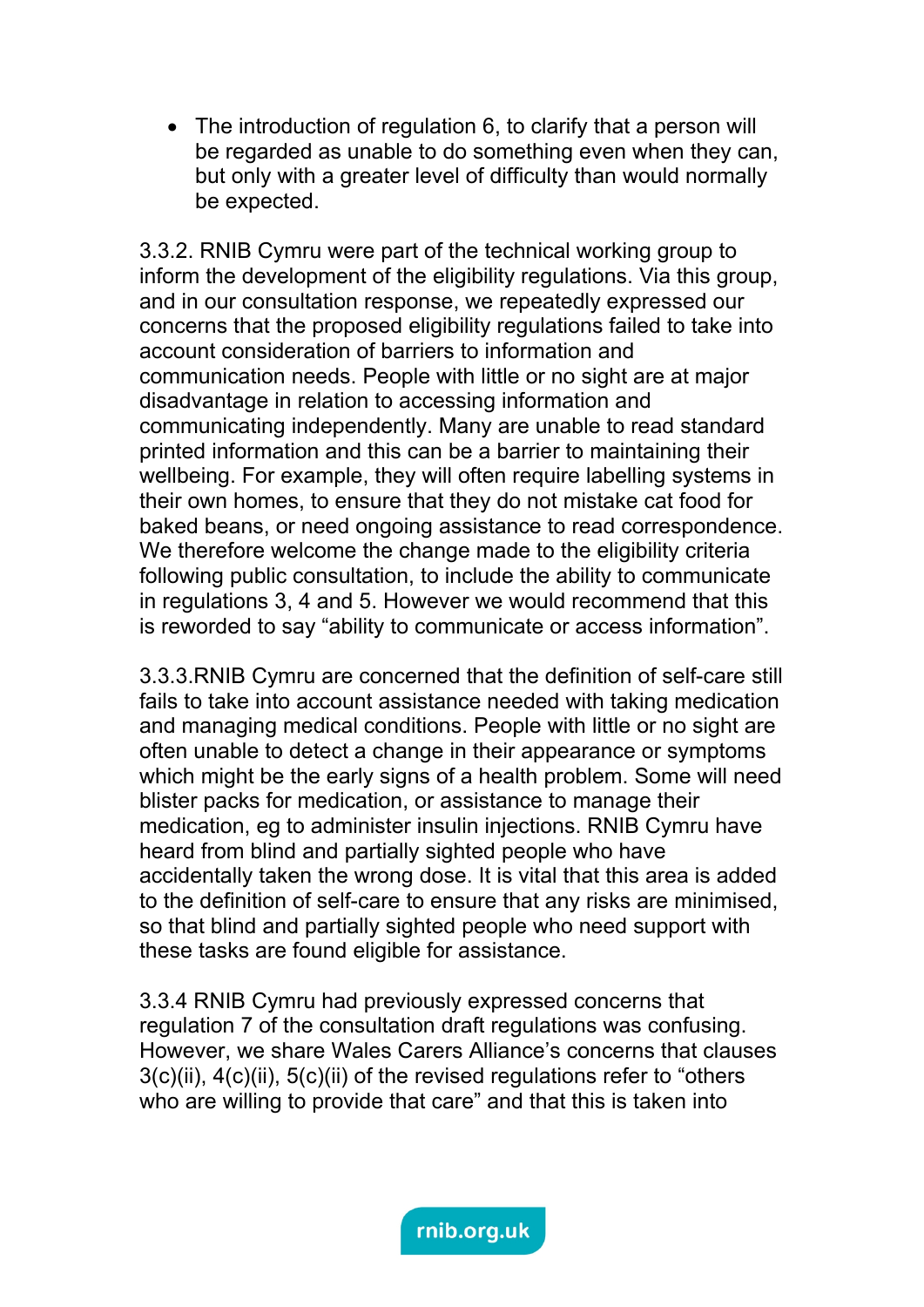The introduction of regulation 6, to clarify that a person will be regarded as unable to do something even when they can, but only with a greater level of difficulty than would normally be expected.

3.3.2. RNIB Cymru were part of the technical working group to inform the development of the eligibility regulations. Via this group, and in our consultation response, we repeatedly expressed our concerns that the proposed eligibility regulations failed to take into account consideration of barriers to information and communication needs. People with little or no sight are at major disadvantage in relation to accessing information and communicating independently. Many are unable to read standard printed information and this can be a barrier to maintaining their wellbeing. For example, they will often require labelling systems in their own homes, to ensure that they do not mistake cat food for baked beans, or need ongoing assistance to read correspondence. We therefore welcome the change made to the eligibility criteria following public consultation, to include the ability to communicate in regulations 3, 4 and 5. However we would recommend that this is reworded to say "ability to communicate or access information".

3.3.3.RNIB Cymru are concerned that the definition of self-care still fails to take into account assistance needed with taking medication and managing medical conditions. People with little or no sight are often unable to detect a change in their appearance or symptoms which might be the early signs of a health problem. Some will need blister packs for medication, or assistance to manage their medication, eg to administer insulin injections. RNIB Cymru have heard from blind and partially sighted people who have accidentally taken the wrong dose. It is vital that this area is added to the definition of self-care to ensure that any risks are minimised, so that blind and partially sighted people who need support with these tasks are found eligible for assistance.

3.3.4 RNIB Cymru had previously expressed concerns that regulation 7 of the consultation draft regulations was confusing. However, we share Wales Carers Alliance's concerns that clauses 3(c)(ii), 4(c)(ii), 5(c)(ii) of the revised regulations refer to "others who are willing to provide that care" and that this is taken into